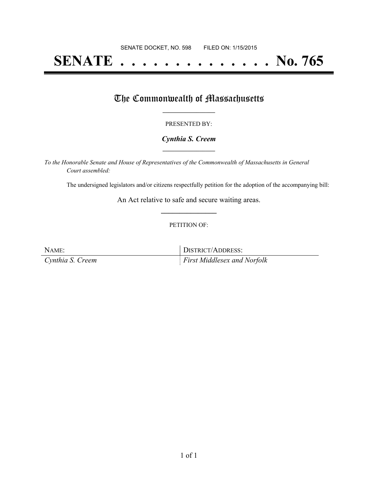# **SENATE . . . . . . . . . . . . . . No. 765**

### The Commonwealth of Massachusetts

#### PRESENTED BY:

#### *Cynthia S. Creem* **\_\_\_\_\_\_\_\_\_\_\_\_\_\_\_\_\_**

*To the Honorable Senate and House of Representatives of the Commonwealth of Massachusetts in General Court assembled:*

The undersigned legislators and/or citizens respectfully petition for the adoption of the accompanying bill:

An Act relative to safe and secure waiting areas. **\_\_\_\_\_\_\_\_\_\_\_\_\_\_\_**

#### PETITION OF:

NAME: DISTRICT/ADDRESS: *Cynthia S. Creem First Middlesex and Norfolk*